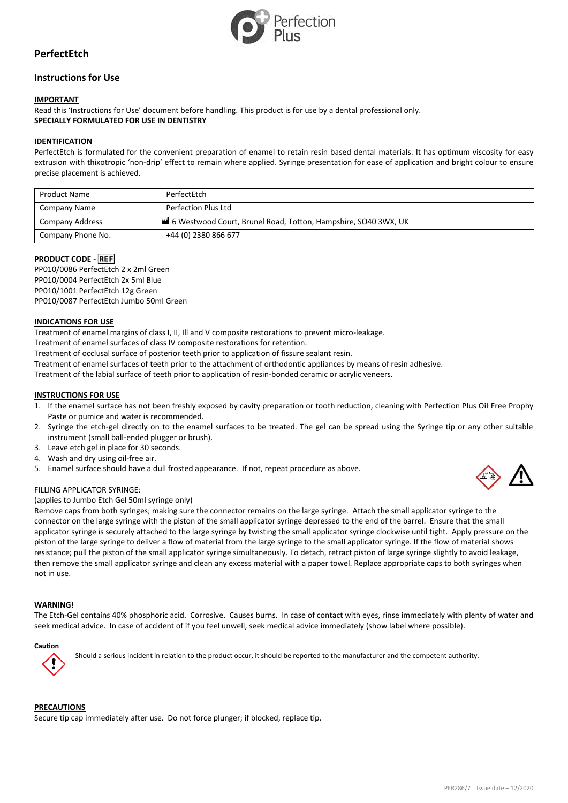

# **PerfectEtch**

# **Instructions for Use**

# **IMPORTANT**

Read this 'Instructions for Use' document before handling. This product is for use by a dental professional only. **SPECIALLY FORMULATED FOR USE IN DENTISTRY**

## **IDENTIFICATION**

PerfectEtch is formulated for the convenient preparation of enamel to retain resin based dental materials. It has optimum viscosity for easy extrusion with thixotropic 'non-drip' effect to remain where applied. Syringe presentation for ease of application and bright colour to ensure precise placement is achieved.

| <b>Product Name</b> | PerfectEtch                                                    |
|---------------------|----------------------------------------------------------------|
| Company Name        | Perfection Plus Ltd                                            |
| Company Address     | 6 Westwood Court, Brunel Road, Totton, Hampshire, SO40 3WX, UK |
| Company Phone No.   | +44 (0) 2380 866 677                                           |

## **PRODUCT CODE -**

PP010/0086 PerfectEtch 2 x 2ml Green PP010/0004 PerfectEtch 2x 5ml Blue PP010/1001 PerfectEtch 12g Green PP010/0087 PerfectEtch Jumbo 50ml Green

## **INDICATIONS FOR USE**

Treatment of enamel margins of class I, II, Ill and V composite restorations to prevent micro-leakage.

Treatment of enamel surfaces of class IV composite restorations for retention.

Treatment of occlusal surface of posterior teeth prior to application of fissure sealant resin.

Treatment of enamel surfaces of teeth prior to the attachment of orthodontic appliances by means of resin adhesive.

Treatment of the labial surface of teeth prior to application of resin-bonded ceramic or acrylic veneers.

## **INSTRUCTIONS FOR USE**

- 1. If the enamel surface has not been freshly exposed by cavity preparation or tooth reduction, cleaning with Perfection Plus Oil Free Prophy Paste or pumice and water is recommended.
- 2. Syringe the etch-gel directly on to the enamel surfaces to be treated. The gel can be spread using the Syringe tip or any other suitable instrument (small ball-ended plugger or brush).
- 3. Leave etch gel in place for 30 seconds.
- 4. Wash and dry using oil-free air.
- 5. Enamel surface should have a dull frosted appearance. If not, repeat procedure as above.

#### FILLING APPLICATOR SYRINGE:

#### (applies to Jumbo Etch Gel 50ml syringe only)

Remove caps from both syringes; making sure the connector remains on the large syringe. Attach the small applicator syringe to the connector on the large syringe with the piston of the small applicator syringe depressed to the end of the barrel. Ensure that the small applicator syringe is securely attached to the large syringe by twisting the small applicator syringe clockwise until tight. Apply pressure on the piston of the large syringe to deliver a flow of material from the large syringe to the small applicator syringe. If the flow of material shows resistance; pull the piston of the small applicator syringe simultaneously. To detach, retract piston of large syringe slightly to avoid leakage, then remove the small applicator syringe and clean any excess material with a paper towel. Replace appropriate caps to both syringes when not in use.

#### **WARNING!**

The Etch-Gel contains 40% phosphoric acid. Corrosive. Causes burns. In case of contact with eyes, rinse immediately with plenty of water and seek medical advice. In case of accident of if you feel unwell, seek medical advice immediately (show label where possible).

# **Caution**

Should a serious incident in relation to the product occur, it should be reported to the manufacturer and the competent authority.

#### **PRECAUTIONS**

Secure tip cap immediately after use. Do not force plunger; if blocked, replace tip.